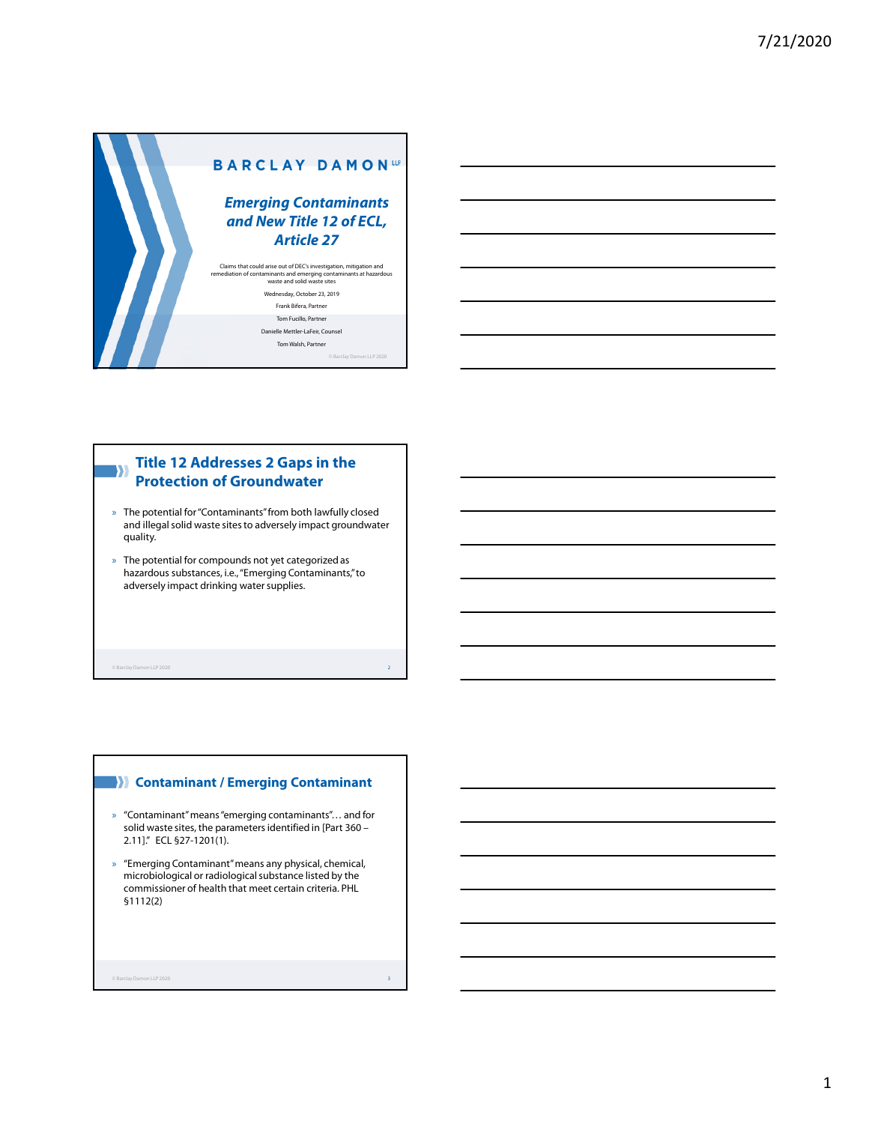

© Barclay Damon LLP 2020

Tom Walsh, Partner

**Title 12 Addresses 2 Gaps in the**  W **Protection of Groundwater**

- » The potential for "Contaminants" from both lawfully closed and illegal solid waste sites to adversely impact groundwater quality.
- » The potential for compounds not yet categorized as hazardous substances, i.e., "Emerging Contaminants," to adversely impact drinking water supplies.

© Barclay Damon LLP 2020 2

#### **Contaminant / Emerging Contaminant**

- » "Contaminant" means "emerging contaminants"… and for solid waste sites, the parameters identified in [Part 360 – 2.11]." ECL §27-1201(1).
- » "Emerging Contaminant" means any physical, chemical, microbiological or radiological substance listed by the commissioner of health that meet certain criteria. PHL §1112(2)

© Barclay Damon LLP 2020 3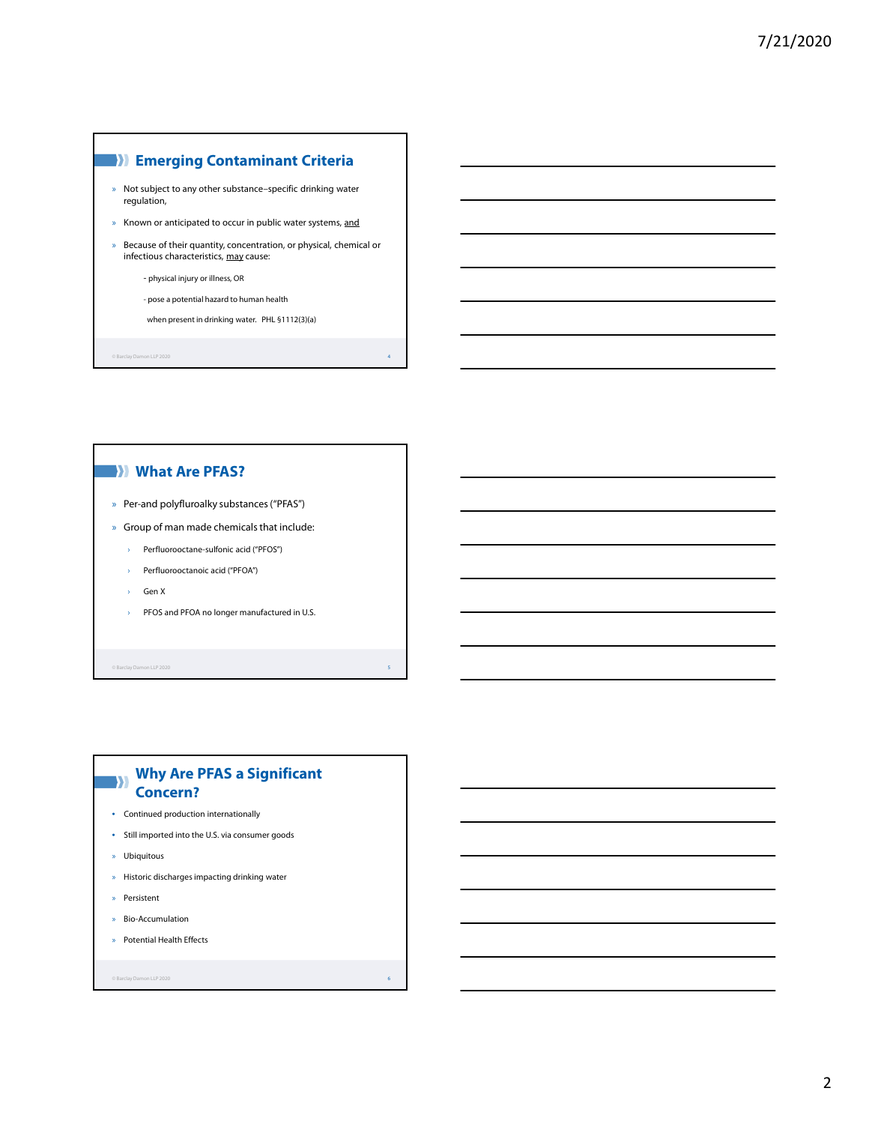# **Emerging Contaminant Criteria**

- » Not subject to any other substance–specific drinking water regulation,
- » Known or anticipated to occur in public water systems, and
- » Because of their quantity, concentration, or physical, chemical or infectious characteristics, may cause:
	- physical injury or illness, OR
	- pose a potential hazard to human health
	- when present in drinking water. PHL §1112(3)(a)

© Barclay Damon LLP 2020 4

# **What Are PFAS?**

- » Per-and polyfluroalky substances ("PFAS")
- » Group of man made chemicals that include:
	- › Perfluorooctane-sulfonic acid ("PFOS")
	- › Perfluorooctanoic acid ("PFOA")
	- › Gen X
	- › PFOS and PFOA no longer manufactured in U.S.

© Barclay Damon LLP 2020 5

#### **Why Are PFAS a Significant**   $\rightarrow$ **Concern?**

- Continued production internationally
- Still imported into the U.S. via consumer goods
- » Ubiquitous
- » Historic discharges impacting drinking water
- » Persistent
- » Bio-Accumulation
- » Potential Health Effects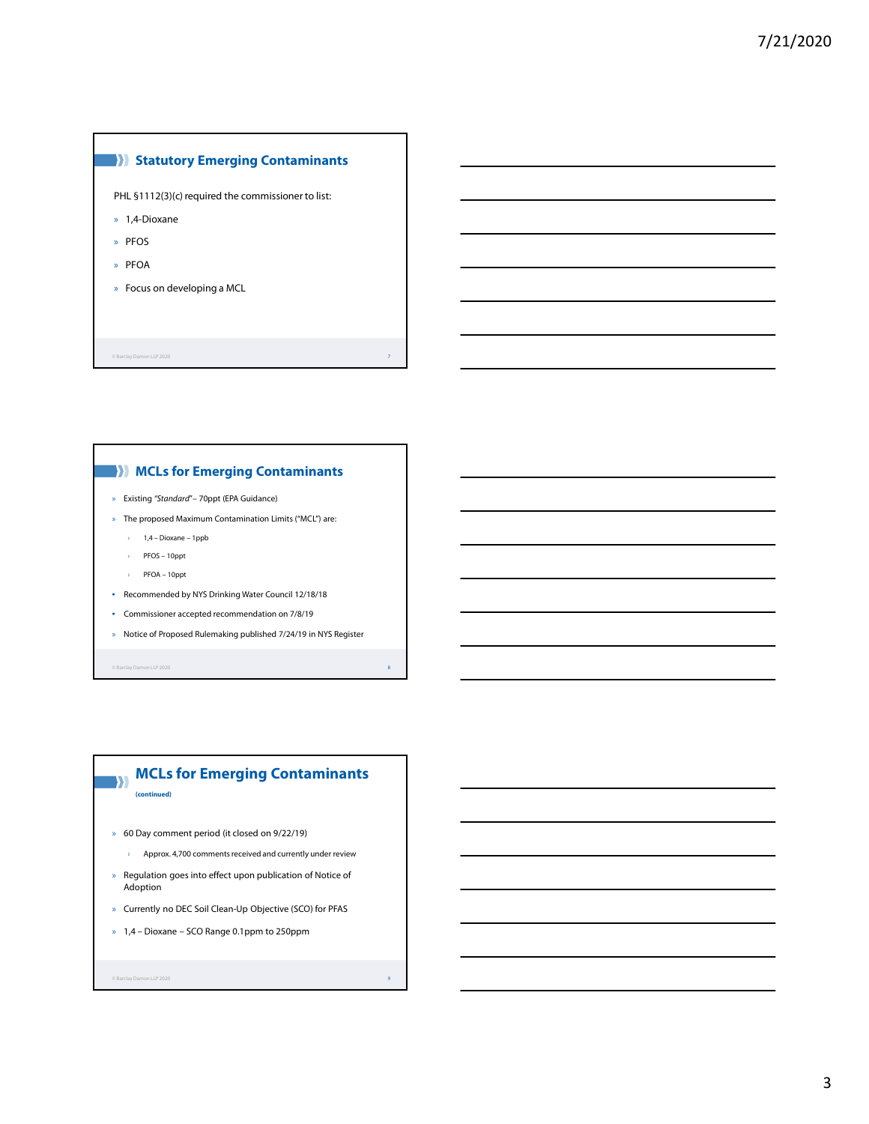#### **Statutory Emerging Contaminants**

PHL §1112(3)(c) required the commissioner to list:

- » 1,4-Dioxane
- » PFOS
- » PFOA
- » Focus on developing a MCL

© Barclay Damon LLP 2020 7

#### **MCLs for Emerging Contaminants**

- » Existing *"Standard*"*–* 70ppt (EPA Guidance)
- » The proposed Maximum Contamination Limits ("MCL") are:
	- › 1,4 Dioxane 1ppb
	- › PFOS 10ppt
	- › PFOA 10ppt
- Recommended by NYS Drinking Water Council 12/18/18
- Commissioner accepted recommendation on 7/8/19
- » Notice of Proposed Rulemaking published 7/24/19 in NYS Register

© Barclay Damon LLP 2020 8

#### **MCLs for Emerging Contaminants**   $\rightarrow$

**(continued)**

- » 60 Day comment period (it closed on 9/22/19)
	- › Approx. 4,700 comments received and currently under review
- » Regulation goes into effect upon publication of Notice of Adoption
- » Currently no DEC Soil Clean-Up Objective (SCO) for PFAS
- » 1,4 Dioxane SCO Range 0.1ppm to 250ppm

```
© Barclay Damon LLP 2020 9
```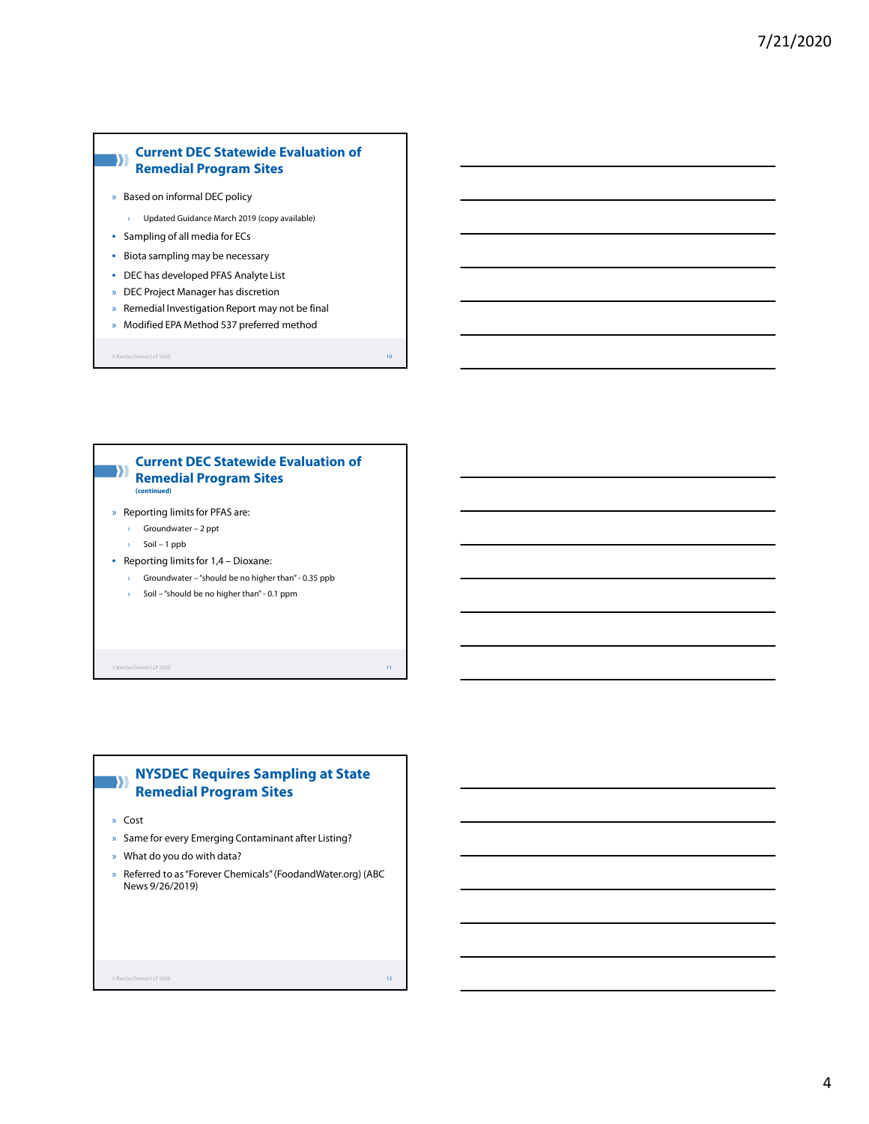# **Current DEC Statewide Evaluation of Remedial Program Sites**

- » Based on informal DEC policy
	- › Updated Guidance March 2019 (copy available)
- Sampling of all media for ECs
- Biota sampling may be necessary
- DEC has developed PFAS Analyte List
- » DEC Project Manager has discretion
- » Remedial Investigation Report may not be final
- » Modified EPA Method 537 preferred method

 $\odot$  Barclay Damon LLP 2020 10  $\Box$  10  $\Box$  10  $\Box$  10  $\Box$  10  $\Box$  10  $\Box$  10  $\Box$  10  $\Box$  10  $\Box$  10  $\Box$  10  $\Box$  10  $\Box$  10  $\Box$  10  $\Box$  10  $\Box$  10  $\Box$  10  $\Box$  10  $\Box$  10  $\Box$  10  $\Box$  10  $\Box$  10  $\Box$  10  $\Box$  10  $\Box$ 



© Barclay Damon LLP 2020 11

#### **NYSDEC Requires Sampling at State**   $\mathbf{y}$ **Remedial Program Sites**

- » Cost
- » Same for every Emerging Contaminant after Listing?
- » What do you do with data?
- » Referred to as "Forever Chemicals" (FoodandWater.org) (ABC News 9/26/2019)

 $\circ$  Barclay Damon LLP 2020 12  $\bullet$  12  $\bullet$  12  $\bullet$  12  $\bullet$  12  $\bullet$  12  $\bullet$  12  $\bullet$  12  $\bullet$  12  $\bullet$  12  $\bullet$  12  $\bullet$  12  $\bullet$  12  $\bullet$  12  $\bullet$  12  $\bullet$  12  $\bullet$  12  $\bullet$  12  $\bullet$  12  $\bullet$  12  $\bullet$  12  $\bullet$  12  $\bullet$  12  $\bullet$  12  $\bullet$  1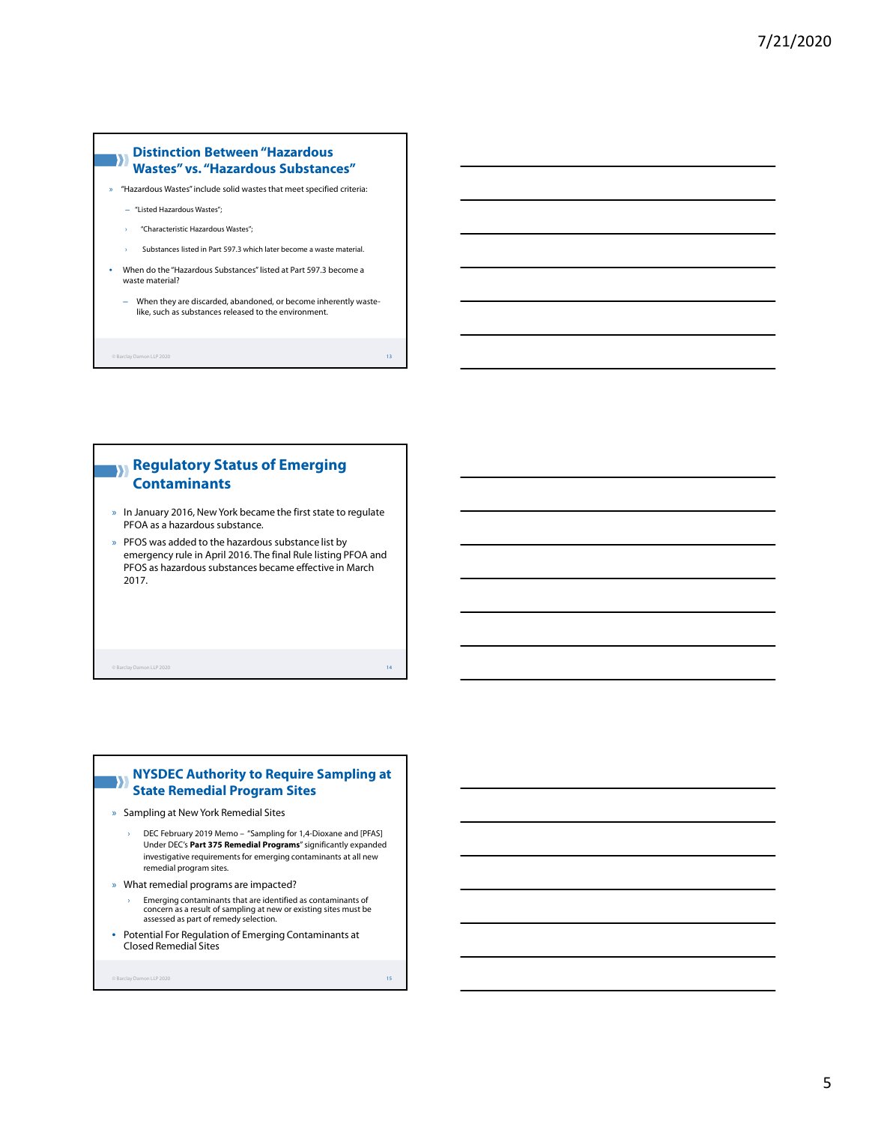#### **Distinction Between "Hazardous**  W **Wastes" vs. "Hazardous Substances"**

» "Hazardous Wastes" include solid wastes that meet specified criteria:

- ‒ "Listed Hazardous Wastes";
- › "Characteristic Hazardous Wastes";
- › Substances listed in Part 597.3 which later become a waste material.
- When do the "Hazardous Substances" listed at Part 597.3 become a waste material?
	- ‒ When they are discarded, abandoned, or become inherently wastelike, such as substances released to the environment.

 $\circ$  Barclay Damon LLP 2020 13  $\bullet$  13  $\bullet$  13  $\bullet$  13  $\bullet$  13  $\bullet$  13  $\bullet$  13  $\bullet$  13  $\bullet$  13  $\bullet$  13  $\bullet$  13  $\bullet$  13  $\bullet$  13  $\bullet$  13  $\bullet$  13  $\bullet$  13  $\bullet$  13  $\bullet$  13  $\bullet$  13  $\bullet$  13  $\bullet$  13  $\bullet$  13  $\bullet$  13  $\bullet$  13  $\bullet$  1

# **Regulatory Status of Emerging Contaminants**

- » In January 2016, New York became the first state to regulate PFOA as a hazardous substance.
- » PFOS was added to the hazardous substance list by emergency rule in April 2016. The final Rule listing PFOA and PFOS as hazardous substances became effective in March 2017.

© Barclay Damon LLP 2020 14

#### **NYSDEC Authority to Require Sampling at**   $\mathbf{y}$ **State Remedial Program Sites**

- » Sampling at New York Remedial Sites
	- DEC February 2019 Memo "Sampling for 1,4-Dioxane and [PFAS] Under DEC's **Part 375 Remedial Programs**" significantly expanded investigative requirements for emerging contaminants at all new remedial program sites.
- » What remedial programs are impacted?
	- › Emerging contaminants that are identified as contaminants of concern as a result of sampling at new or existing sites must be assessed as part of remedy selection.
- Potential For Regulation of Emerging Contaminants at Closed Remedial Sites

```
© Barclay Damon LLP 2020 15
```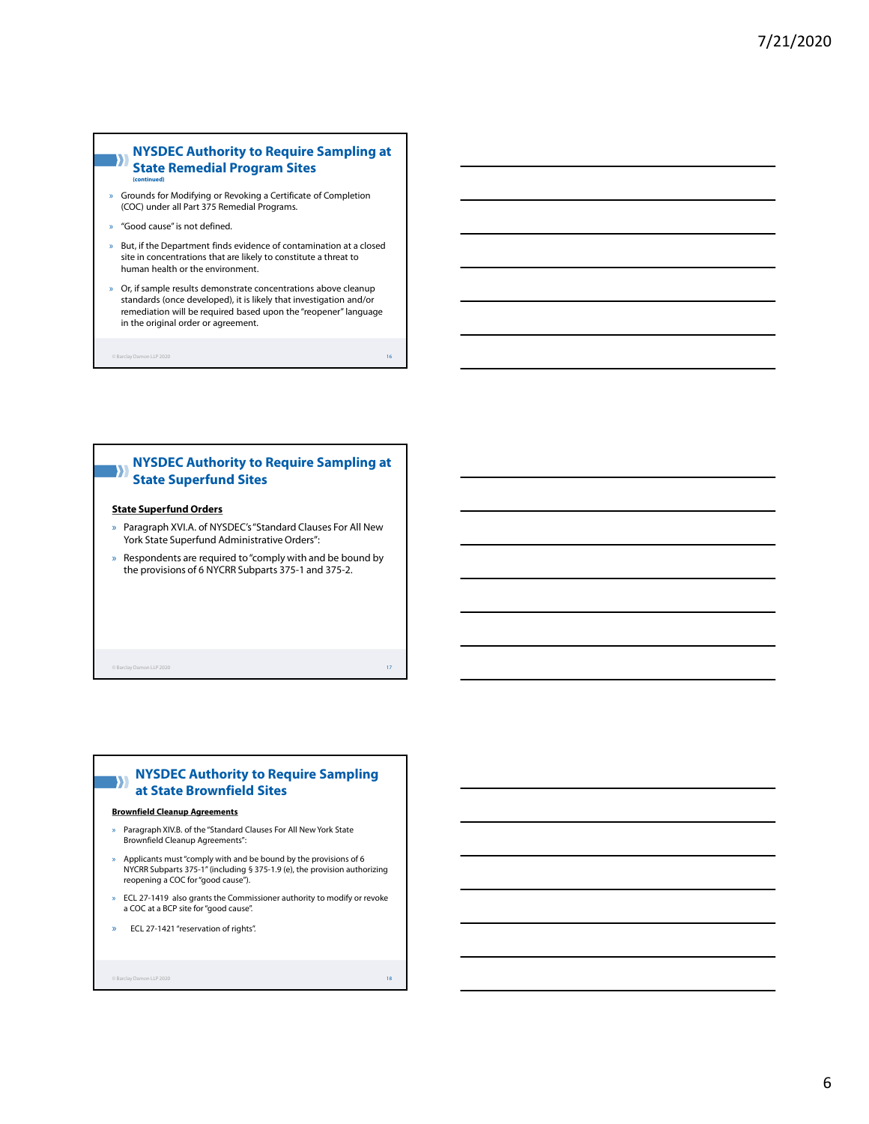#### **NYSDEC Authority to Require Sampling at**  W **State Remedial Program Sites (continued)**

- » Grounds for Modifying or Revoking a Certificate of Completion (COC) under all Part 375 Remedial Programs.
- » "Good cause" is not defined.
- » But, if the Department finds evidence of contamination at a closed site in concentrations that are likely to constitute a threat to human health or the environment.
- » Or, if sample results demonstrate concentrations above cleanup standards (once developed), it is likely that investigation and/or remediation will be required based upon the "reopener" language in the original order or agreement.

 $\circ$  Barclay Damon LLP 2020 16  $\bullet$  16  $\bullet$  16  $\bullet$  16  $\bullet$  16  $\bullet$  16  $\bullet$  16  $\bullet$  16  $\bullet$  16  $\bullet$  16  $\bullet$  16  $\bullet$  16  $\bullet$  16  $\bullet$  16  $\bullet$  16  $\bullet$  16  $\bullet$  16  $\bullet$  16  $\bullet$  16  $\bullet$  16  $\bullet$  16  $\bullet$  16  $\bullet$  16  $\bullet$  16  $\bullet$  1

#### **NYSDEC Authority to Require Sampling at State Superfund Sites**

#### **State Superfund Orders**

- » Paragraph XVI.A. of NYSDEC's"Standard Clauses For All New York State Superfund Administrative Orders":
- » Respondents are required to "comply with and be bound by the provisions of 6 NYCRR Subparts 375-1 and 375-2.

© Barclay Damon LLP 2020 17

#### **NYSDEC Authority to Require Sampling**  D **at State Brownfield Sites**

#### **Brownfield Cleanup Agreements**

- Paragraph XIV.B. of the "Standard Clauses For All New York State Brownfield Cleanup Agreements":
- » Applicants must "comply with and be bound by the provisions of 6 NYCRR Subparts 375-1" (including § 375-1.9 (e), the provision authorizing reopening a COC for "good cause").
- » ECL 27-1419 also grants the Commissioner authority to modify or revoke a COC at a BCP site for "good cause".
- » ECL 27-1421 "reservation of rights".

 $\circ$  Barclay Damon LLP 2020 18  $\bullet$  18  $\bullet$  18  $\bullet$  18  $\bullet$  18  $\bullet$  18  $\bullet$  18  $\bullet$  18  $\bullet$  18  $\bullet$  18  $\bullet$  18  $\bullet$  18  $\bullet$  18  $\bullet$  18  $\bullet$  18  $\bullet$  18  $\bullet$  18  $\bullet$  18  $\bullet$  18  $\bullet$  18  $\bullet$  18  $\bullet$  18  $\bullet$  18  $\bullet$  18  $\bullet$  1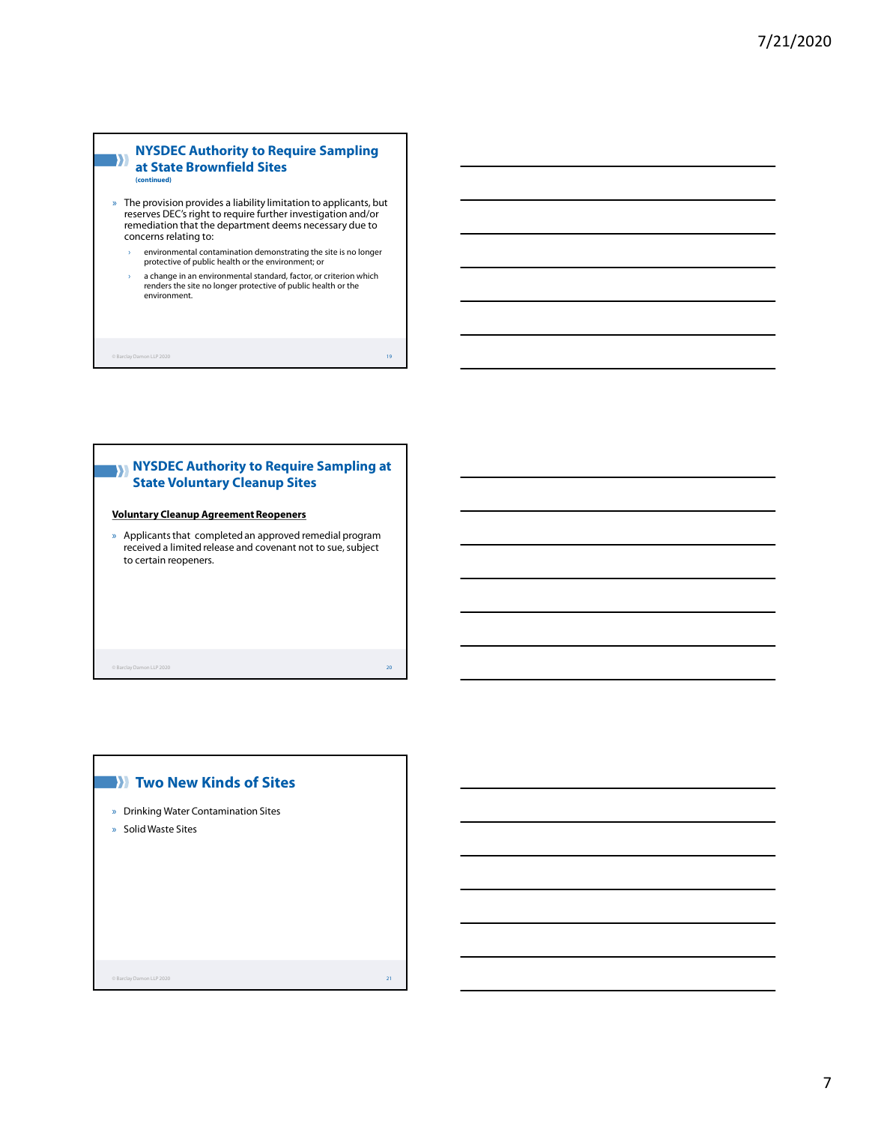#### **NYSDEC Authority to Require Sampling**   $\rightarrow$ **at State Brownfield Sites (continued)**

- » The provision provides a liability limitation to applicants, but reserves DEC's right to require further investigation and/or remediation that the department deems necessary due to concerns relating to:
	- environmental contamination demonstrating the site is no longer protective of public health or the environment; or
	- › a change in an environmental standard, factor, or criterion which renders the site no longer protective of public health or the environment.

© Barclay Damon LLP 2020 19

# **NYSDEC Authority to Require Sampling at State Voluntary Cleanup Sites**

#### **Voluntary Cleanup Agreement Reopeners**

» Applicants that completed an approved remedial program received a limited release and covenant not to sue, subject to certain reopeners.

© Barclay Damon LLP 2020 20

» Drinking Water Contamination Sites

**Two New Kinds of Sites** 

» Solid Waste Sites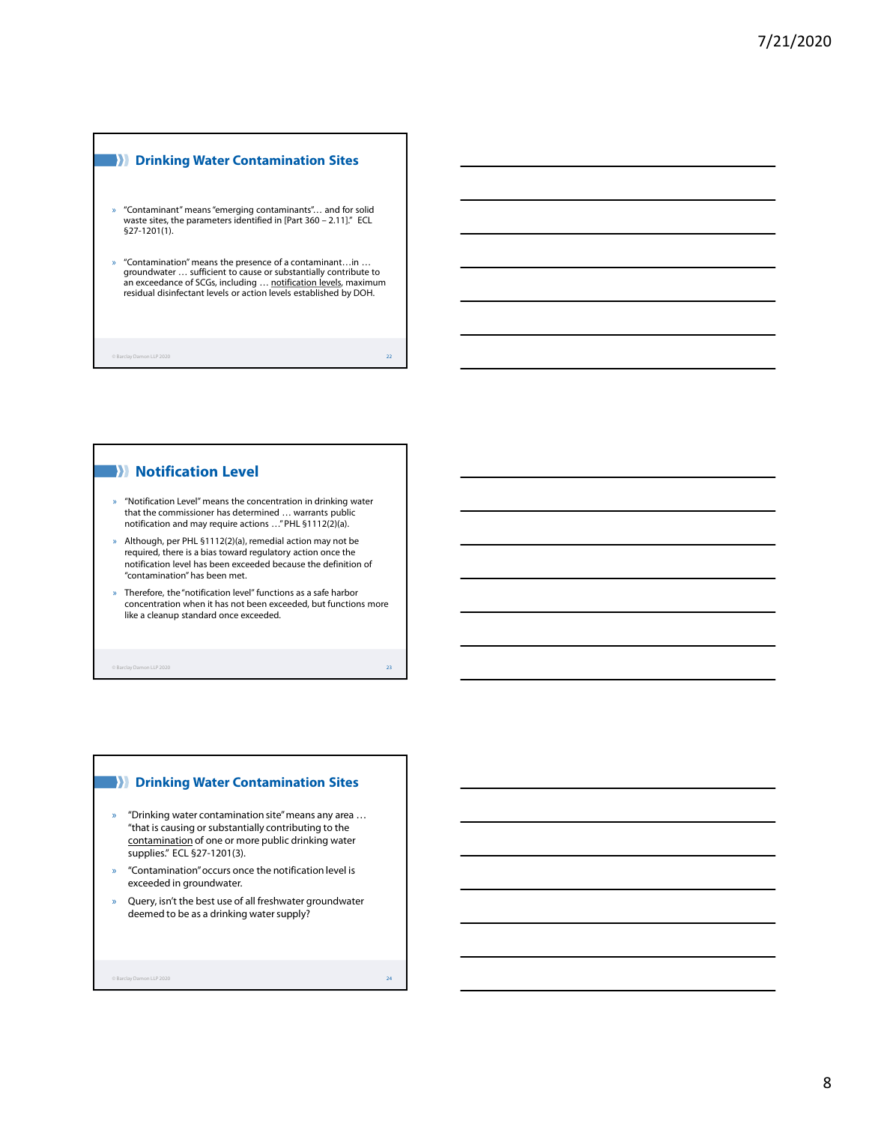#### **Drinking Water Contamination Sites**

- » "Contaminant" means "emerging contaminants"… and for solid waste sites, the parameters identified in [Part 360 – 2.11]." ECL §27-1201(1).
- » "Contamination" means the presence of a contaminant…in … groundwater … sufficient to cause or substantially contribute to an exceedance of SCGs, including … <u>notification levels</u>, maximum<br>residual disinfectant levels or action levels established by DOH.

 $\circ$  Barclay Damon LLP 2020 22  $\bullet$  22  $\bullet$  22  $\bullet$  22  $\bullet$  22  $\bullet$  22  $\bullet$  22  $\bullet$  22  $\bullet$  22  $\bullet$  22  $\bullet$  22  $\bullet$  22  $\bullet$  22  $\bullet$  22  $\bullet$  22  $\bullet$  22  $\bullet$  22  $\bullet$  22  $\bullet$  22  $\bullet$  22  $\bullet$  22  $\bullet$  22  $\bullet$  22  $\bullet$  22  $\bullet$  2

#### **Notification Level**

- » "Notification Level" means the concentration in drinking water that the commissioner has determined … warrants public notification and may require actions …" PHL §1112(2)(a).
- » Although, per PHL §1112(2)(a), remedial action may not be required, there is a bias toward regulatory action once the notification level has been exceeded because the definition of "contamination" has been met.
- » Therefore, the "notification level" functions as a safe harbor concentration when it has not been exceeded, but functions more like a cleanup standard once exceeded.

© Barclay Damon LLP 2020 23

#### **Drinking Water Contamination Sites**

- » "Drinking water contamination site" means any area … "that is causing or substantially contributing to the contamination of one or more public drinking water supplies." ECL §27-1201(3).
- » "Contamination" occurs once the notification level is exceeded in groundwater.
- » Query, isn't the best use of all freshwater groundwater deemed to be as a drinking water supply?

 $\sum_{i=1}^{\infty}$  Barclay Damon LLP 2020 24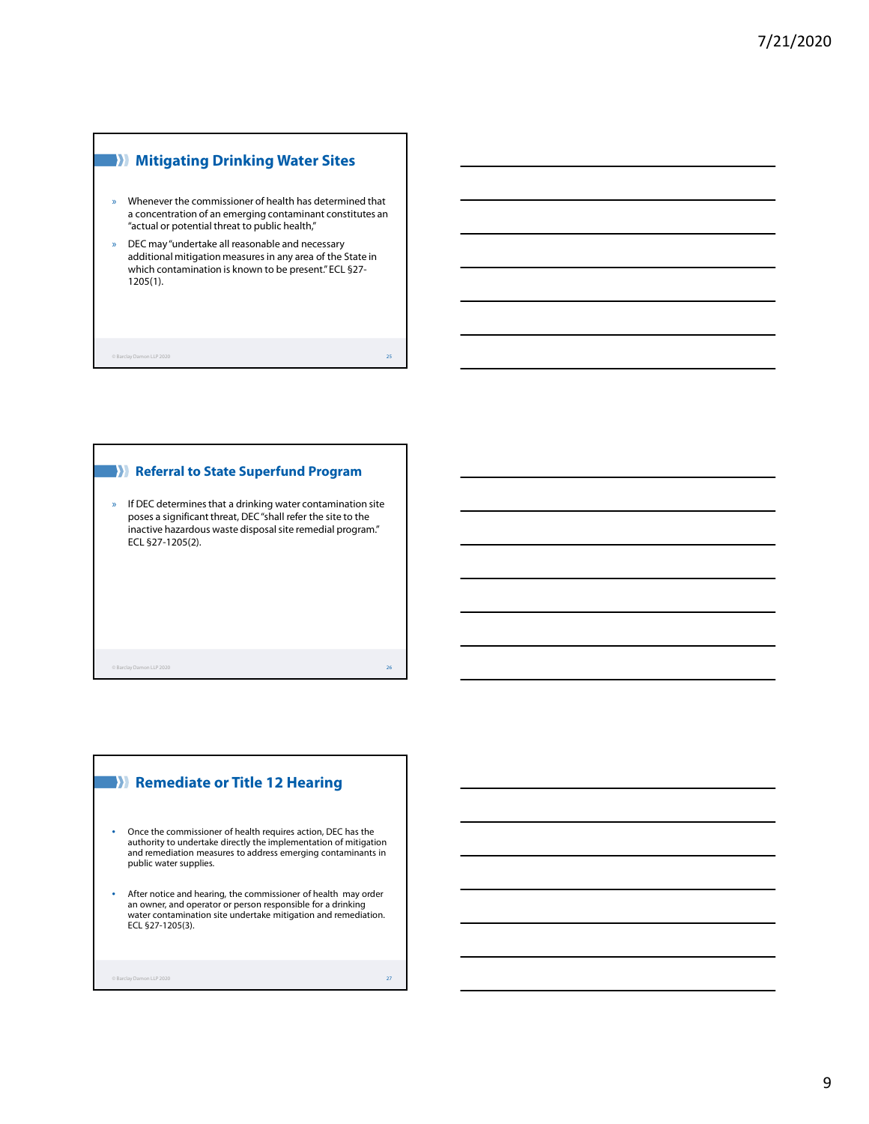# **Mitigating Drinking Water Sites**

- » Whenever the commissioner of health has determined that a concentration of an emerging contaminant constitutes an "actual or potential threat to public health,"
- » DEC may "undertake all reasonable and necessary additional mitigation measures in any area of the State in which contamination is known to be present." ECL §27- 1205(1).

© Barclay Damon LLP 2020 25

#### **Referral to State Superfund Program**

» If DEC determines that a drinking water contamination site poses a significant threat, DEC "shall refer the site to the inactive hazardous waste disposal site remedial program." ECL §27-1205(2).

© Barclay Damon LLP 2020 26

# **Remediate or Title 12 Hearing**

- Once the commissioner of health requires action, DEC has the authority to undertake directly the implementation of mitigation and remediation measures to address emerging contaminants in public water supplies.
- After notice and hearing, the commissioner of health may order an owner, and operator or person responsible for a drinking water contamination site undertake mitigation and remediation. ECL §27-1205(3).

```
© Barclay Damon LLP 2020 27
```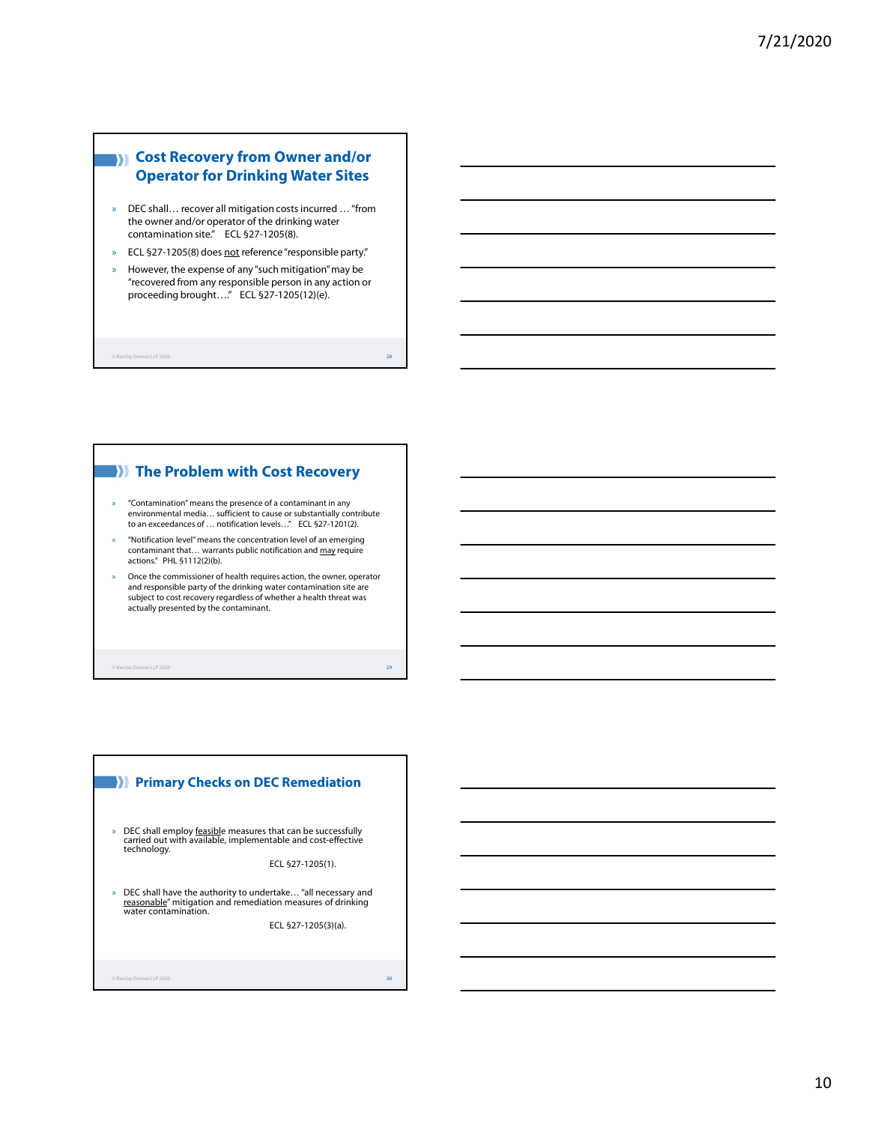# **EXP** Cost Recovery from Owner and/or **Operator for Drinking Water Sites**

- » DEC shall… recover all mitigation costs incurred … "from the owner and/or operator of the drinking water contamination site." ECL §27-1205(8).
- » ECL §27-1205(8) does not reference "responsible party."
- » However, the expense of any "such mitigation" may be "recovered from any responsible person in any action or proceeding brought…." ECL §27-1205(12)(e).

 $\circ$  Barclay Damon LLP 2020  $\hspace{0.3cm}$   $\hspace{0.3cm}$  28

#### **The Problem with Cost Recovery**

- » "Contamination" means the presence of a contaminant in any environmental media… sufficient to cause or substantially contribute to an exceedances of … notification levels…" ECL §27-1201(2).
- » "Notification level" means the concentration level of an emerging contaminant that... warrants public notification and may require actions." PHL §1112(2)(b).
- » Once the commissioner of health requires action, the owner, operator and responsible party of the drinking water contamination site are subject to cost recovery regardless of whether a health threat was actually presented by the contaminant.

© Barclay Damon LLP 2020 29

# **Primary Checks on DEC Remediation**

» DEC shall employ feasible measures that can be successfully carried out with available, implementable and cost-effective technology.

ECL §27-1205(1).

» DEC shall have the authority to undertake… "all necessary and reasonable" mitigation and remediation measures of drinking water contamination.

ECL §27-1205(3)(a).

on LLP 2020 30 and 200 and 200 and 200 and 200 and 200 and 200 and 200 and 200 and 200 and 200 and 200 and 200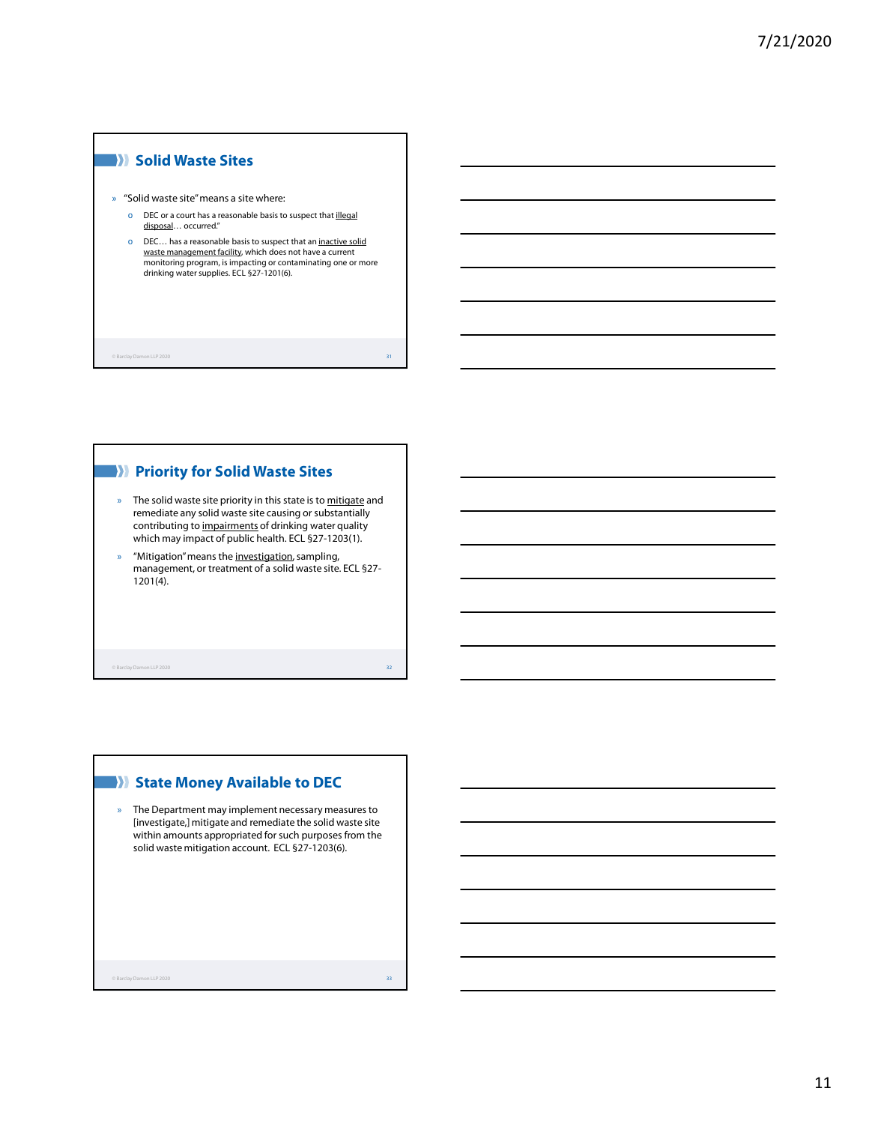#### **Solid Waste Sites**

» "Solid waste site" means a site where:

- o DEC or a court has a reasonable basis to suspect that **illegal** disposal... occurred."
- o DEC… has a reasonable basis to suspect that an inactive solid <u>waste management facility</u>, which does not have a current<br>monitoring program, is impacting or contaminating one or more drinking water supplies. ECL §27-1201(6).

© Barclay Damon LLP 2020 31

# **PRIORITY FOR SOLIC WASTE Sites**

- » The solid waste site priority in this state is to mitigate and remediate any solid waste site causing or substantially contributing to impairments of drinking water quality which may impact of public health. ECL §27-1203(1).
- » "Mitigation" means the investigation, sampling, management, or treatment of a solid waste site. ECL §27- 1201(4).

© Barclay Damon LLP 2020 32

#### **W** State Money Available to DEC

» The Department may implement necessary measures to [investigate,] mitigate and remediate the solid waste site within amounts appropriated for such purposes from the solid waste mitigation account. ECL §27-1203(6).

© Barclay Damon LLP 2020 33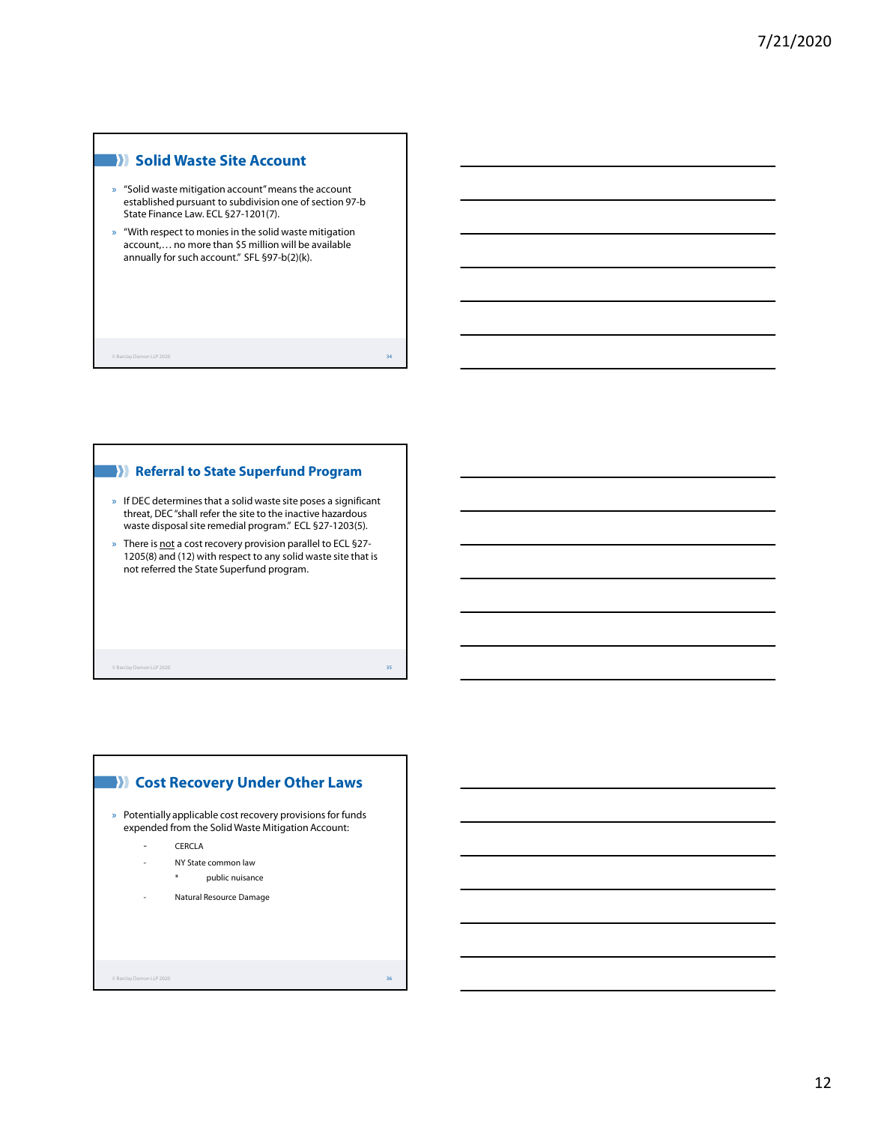#### **Solid Waste Site Account**

- » "Solid waste mitigation account" means the account established pursuant to subdivision one of section 97-b State Finance Law. ECL §27-1201(7).
- » "With respect to monies in the solid waste mitigation account,… no more than \$5 million will be available annually for such account." SFL §97-b(2)(k).

© Barclay Damon LLP 2020 34

#### **Referral to State Superfund Program**

- » If DEC determines that a solid waste site poses a significant threat, DEC "shall refer the site to the inactive hazardous waste disposal site remedial program." ECL §27-1203(5).
- » There is not a cost recovery provision parallel to ECL §27-1205(8) and (12) with respect to any solid waste site that is not referred the State Superfund program.

© Barclay Damon LLP 2020 35

# $\circ$  Barclay Damon LLP 2020  $\hspace{1.5cm}$  36  $\hspace{1.5cm}$  36  $\hspace{1.5cm}$  36  $\hspace{1.5cm}$  36  $\hspace{1.5cm}$  36  $\hspace{1.5cm}$  36  $\hspace{1.5cm}$  36  $\hspace{1.5cm}$  36  $\hspace{1.5cm}$  36  $\hspace{1.5cm}$  36  $\hspace{1.5cm}$  36  $\hspace{1.5cm}$  36  $\hspace{1.5cm}$  3 » Potentially applicable cost recovery provisions for funds expended from the Solid Waste Mitigation Account: **CERCLA** NY State common law \* public nuisance Natural Resource Damage **Cost Recovery Under Other Laws**